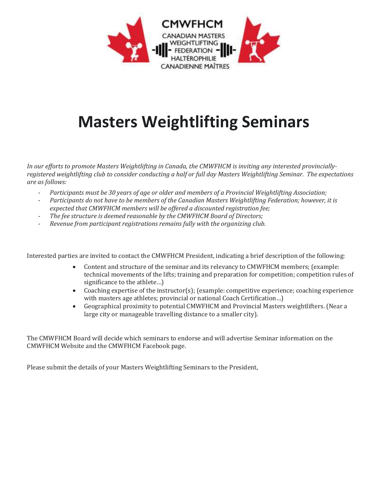

## **Masters Weightlifting Seminars**

*In our efforts to promote Masters Weightlifting in Canada, the CMWFHCM is inviting any interested provinciallyregistered weightlifting club to consider conducting a half or full day Masters Weightlifting Seminar. The expectations are as follows:*

- *Participants must be 30 years of age or older and members of a Provincial Weightlifting Association;*
- *Participants do not have to be members of the Canadian Masters Weightlifting Federation; however, it is expected that CMWFHCM members will be offered a discounted registration fee;*
- *The fee structure is deemed reasonable by the CMWFHCM Board of Directors;*
- *Revenue from participant registrations remains fully with the organizing club.*

Interested parties are invited to contact the CMWFHCM President, indicating a brief description of the following:

- Content and structure of the seminar and its relevancy to CMWFHCM members; (example: technical movements of the lifts; training and preparation for competition; competition rules of significance to the athlete…)
- Coaching expertise of the instructor(s); (example: competitive experience; coaching experience with masters age athletes; provincial or national Coach Certification…)
- Geographical proximity to potential CMWFHCM and Provincial Masters weightlifters. (Near a large city or manageable travelling distance to a smaller city).

The CMWFHCM Board will decide which seminars to endorse and will advertise Seminar information on the CMWFHCM Website and the CMWFHCM Facebook page.

Please submit the details of your Masters Weightlifting Seminars to the President,